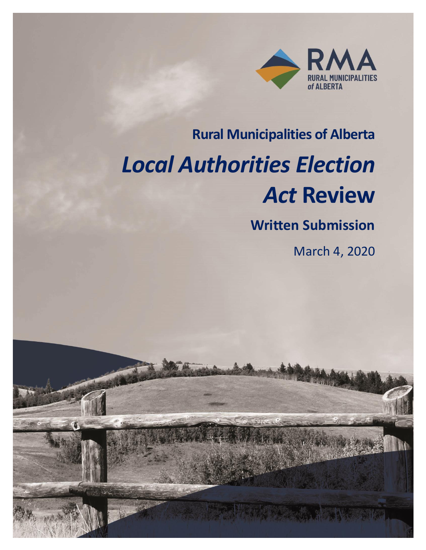

### **Rural Municipalities of Alberta**

# *Local Authorities Election Act* **Review**

### **Written Submission**

March 4, 2020

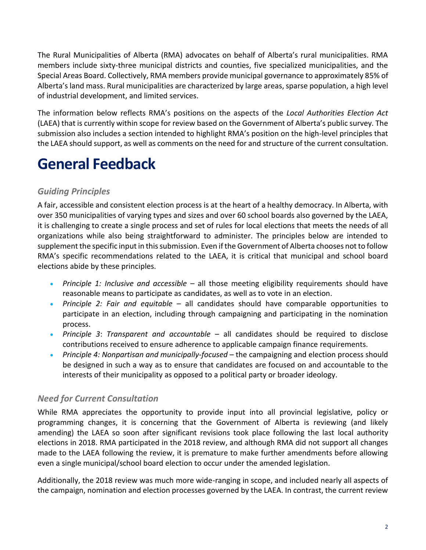The Rural Municipalities of Alberta (RMA) advocates on behalf of Alberta's rural municipalities. RMA members include sixty-three municipal districts and counties, five specialized municipalities, and the Special Areas Board. Collectively, RMA members provide municipal governance to approximately 85% of Alberta's land mass. Rural municipalities are characterized by large areas, sparse population, a high level of industrial development, and limited services.

The information below reflects RMA's positions on the aspects of the *Local Authorities Election Act* (LAEA) that is currently within scope for review based on the Government of Alberta's public survey. The submission also includes a section intended to highlight RMA's position on the high-level principles that the LAEA should support, as well as comments on the need for and structure of the current consultation.

# **General Feedback**

### *Guiding Principles*

A fair, accessible and consistent election process is at the heart of a healthy democracy. In Alberta, with over 350 municipalities of varying types and sizes and over 60 school boards also governed by the LAEA, it is challenging to create a single process and set of rules for local elections that meets the needs of all organizations while also being straightforward to administer. The principles below are intended to supplement the specific input in this submission. Even if the Government of Alberta chooses not to follow RMA's specific recommendations related to the LAEA, it is critical that municipal and school board elections abide by these principles.

- *Principle 1: Inclusive and accessible* all those meeting eligibility requirements should have reasonable means to participate as candidates, as well as to vote in an election.
- *Principle 2: Fair and equitable* all candidates should have comparable opportunities to participate in an election, including through campaigning and participating in the nomination process.
- *Principle 3*: *Transparent and accountable* all candidates should be required to disclose contributions received to ensure adherence to applicable campaign finance requirements.
- *Principle 4: Nonpartisan and municipally-focused* the campaigning and election process should be designed in such a way as to ensure that candidates are focused on and accountable to the interests of their municipality as opposed to a political party or broader ideology.

### *Need for Current Consultation*

While RMA appreciates the opportunity to provide input into all provincial legislative, policy or programming changes, it is concerning that the Government of Alberta is reviewing (and likely amending) the LAEA so soon after significant revisions took place following the last local authority elections in 2018. RMA participated in the 2018 review, and although RMA did not support all changes made to the LAEA following the review, it is premature to make further amendments before allowing even a single municipal/school board election to occur under the amended legislation.

Additionally, the 2018 review was much more wide-ranging in scope, and included nearly all aspects of the campaign, nomination and election processes governed by the LAEA. In contrast, the current review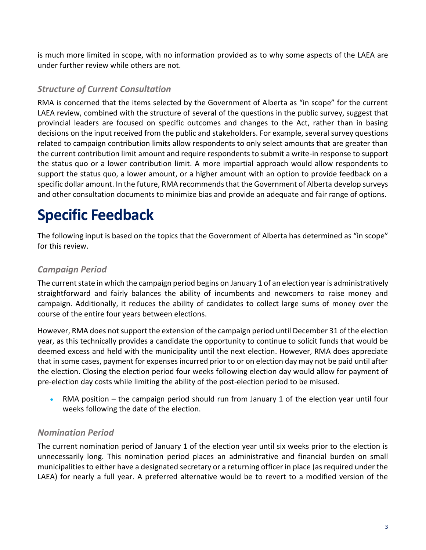is much more limited in scope, with no information provided as to why some aspects of the LAEA are under further review while others are not.

#### *Structure of Current Consultation*

RMA is concerned that the items selected by the Government of Alberta as "in scope" for the current LAEA review, combined with the structure of several of the questions in the public survey, suggest that provincial leaders are focused on specific outcomes and changes to the Act, rather than in basing decisions on the input received from the public and stakeholders. For example, several survey questions related to campaign contribution limits allow respondents to only select amounts that are greater than the current contribution limit amount and require respondents to submit a write-in response to support the status quo or a lower contribution limit. A more impartial approach would allow respondents to support the status quo, a lower amount, or a higher amount with an option to provide feedback on a specific dollar amount. In the future, RMA recommends that the Government of Alberta develop surveys and other consultation documents to minimize bias and provide an adequate and fair range of options.

# **Specific Feedback**

The following input is based on the topics that the Government of Alberta has determined as "in scope" for this review.

### *Campaign Period*

The current state in which the campaign period begins on January 1 of an election year is administratively straightforward and fairly balances the ability of incumbents and newcomers to raise money and campaign. Additionally, it reduces the ability of candidates to collect large sums of money over the course of the entire four years between elections.

However, RMA does not support the extension of the campaign period until December 31 of the election year, as this technically provides a candidate the opportunity to continue to solicit funds that would be deemed excess and held with the municipality until the next election. However, RMA does appreciate that in some cases, payment for expenses incurred prior to or on election day may not be paid until after the election. Closing the election period four weeks following election day would allow for payment of pre-election day costs while limiting the ability of the post-election period to be misused.

• RMA position – the campaign period should run from January 1 of the election year until four weeks following the date of the election.

### *Nomination Period*

The current nomination period of January 1 of the election year until six weeks prior to the election is unnecessarily long. This nomination period places an administrative and financial burden on small municipalities to either have a designated secretary or a returning officer in place (as required under the LAEA) for nearly a full year. A preferred alternative would be to revert to a modified version of the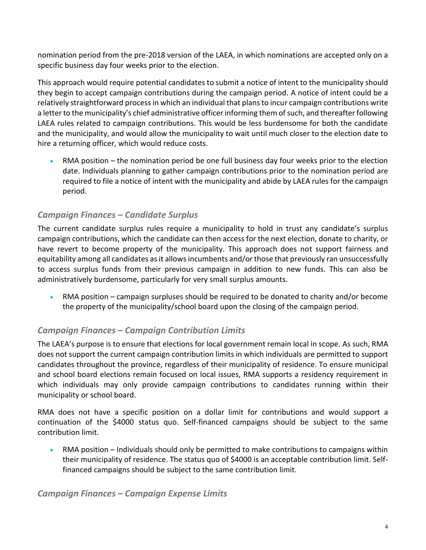nomination period from the pre-2018 version of the LAEA, in which nominations are accepted only on a specific business day four weeks prior to the election.

This approach would require potential candidates to submit a notice of intent to the municipality should they begin to accept campaign contributions during the campaign period. A notice of intent could be a relatively straightforward process in which an individual that plans to incur campaign contributions write a letter to the municipality's chief administrative officer informing them of such, and thereafter following LAEA rules related to campaign contributions. This would be less burdensome for both the candidate and the municipality, and would allow the municipality to wait until much closer to the election date to hire a returning officer, which would reduce costs.

• RMA position – the nomination period be one full business day four weeks prior to the election date. Individuals planning to gather campaign contributions prior to the nomination period are required to file a notice of intent with the municipality and abide by LAEA rules for the campaign period.

### *Campaign Finances – Candidate Surplus*

The current candidate surplus rules require a municipality to hold in trust any candidate's surplus campaign contributions, which the candidate can then access for the next election, donate to charity, or have revert to become property of the municipality. This approach does not support fairness and equitability among all candidates as it allows incumbents and/or those that previously ran unsuccessfully to access surplus funds from their previous campaign in addition to new funds. This can also be administratively burdensome, particularly for very small surplus amounts.

• RMA position – campaign surpluses should be required to be donated to charity and/or become the property of the municipality/school board upon the closing of the campaign period.

### *Campaign Finances – Campaign Contribution Limits*

The LAEA's purpose is to ensure that elections for local government remain local in scope. As such, RMA does not support the current campaign contribution limits in which individuals are permitted to support candidates throughout the province, regardless of their municipality of residence. To ensure municipal and school board elections remain focused on local issues, RMA supports a residency requirement in which individuals may only provide campaign contributions to candidates running within their municipality or school board.

RMA does not have a specific position on a dollar limit for contributions and would support a continuation of the \$4000 status quo. Self-financed campaigns should be subject to the same contribution limit.

• RMA position – Individuals should only be permitted to make contributions to campaigns within their municipality of residence. The status quo of \$4000 is an acceptable contribution limit. Selffinanced campaigns should be subject to the same contribution limit.

*Campaign Finances – Campaign Expense Limits*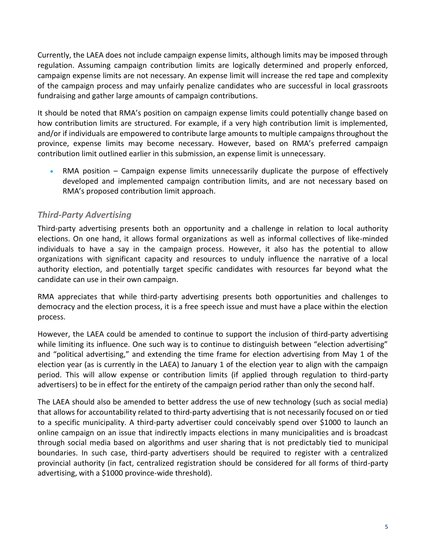Currently, the LAEA does not include campaign expense limits, although limits may be imposed through regulation. Assuming campaign contribution limits are logically determined and properly enforced, campaign expense limits are not necessary. An expense limit will increase the red tape and complexity of the campaign process and may unfairly penalize candidates who are successful in local grassroots fundraising and gather large amounts of campaign contributions.

It should be noted that RMA's position on campaign expense limits could potentially change based on how contribution limits are structured. For example, if a very high contribution limit is implemented, and/or if individuals are empowered to contribute large amounts to multiple campaigns throughout the province, expense limits may become necessary. However, based on RMA's preferred campaign contribution limit outlined earlier in this submission, an expense limit is unnecessary.

• RMA position – Campaign expense limits unnecessarily duplicate the purpose of effectively developed and implemented campaign contribution limits, and are not necessary based on RMA's proposed contribution limit approach.

### *Third-Party Advertising*

Third-party advertising presents both an opportunity and a challenge in relation to local authority elections. On one hand, it allows formal organizations as well as informal collectives of like-minded individuals to have a say in the campaign process. However, it also has the potential to allow organizations with significant capacity and resources to unduly influence the narrative of a local authority election, and potentially target specific candidates with resources far beyond what the candidate can use in their own campaign.

RMA appreciates that while third-party advertising presents both opportunities and challenges to democracy and the election process, it is a free speech issue and must have a place within the election process.

However, the LAEA could be amended to continue to support the inclusion of third-party advertising while limiting its influence. One such way is to continue to distinguish between "election advertising" and "political advertising," and extending the time frame for election advertising from May 1 of the election year (as is currently in the LAEA) to January 1 of the election year to align with the campaign period. This will allow expense or contribution limits (if applied through regulation to third-party advertisers) to be in effect for the entirety of the campaign period rather than only the second half.

The LAEA should also be amended to better address the use of new technology (such as social media) that allows for accountability related to third-party advertising that is not necessarily focused on or tied to a specific municipality. A third-party advertiser could conceivably spend over \$1000 to launch an online campaign on an issue that indirectly impacts elections in many municipalities and is broadcast through social media based on algorithms and user sharing that is not predictably tied to municipal boundaries. In such case, third-party advertisers should be required to register with a centralized provincial authority (in fact, centralized registration should be considered for all forms of third-party advertising, with a \$1000 province-wide threshold).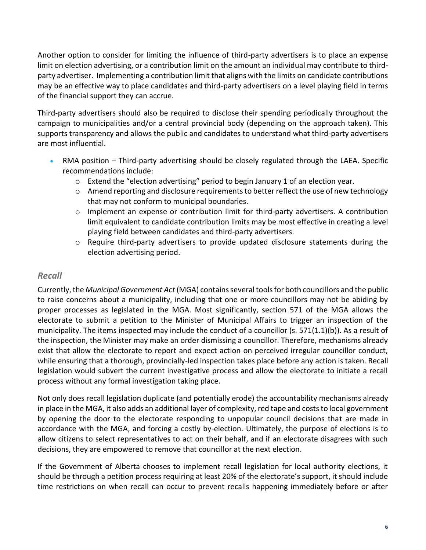Another option to consider for limiting the influence of third-party advertisers is to place an expense limit on election advertising, or a contribution limit on the amount an individual may contribute to thirdparty advertiser. Implementing a contribution limit that aligns with the limits on candidate contributions may be an effective way to place candidates and third-party advertisers on a level playing field in terms of the financial support they can accrue.

Third-party advertisers should also be required to disclose their spending periodically throughout the campaign to municipalities and/or a central provincial body (depending on the approach taken). This supports transparency and allows the public and candidates to understand what third-party advertisers are most influential.

- RMA position Third-party advertising should be closely regulated through the LAEA. Specific recommendations include:
	- $\circ$  Extend the "election advertising" period to begin January 1 of an election year.
	- o Amend reporting and disclosure requirements to better reflect the use of new technology that may not conform to municipal boundaries.
	- $\circ$  Implement an expense or contribution limit for third-party advertisers. A contribution limit equivalent to candidate contribution limits may be most effective in creating a level playing field between candidates and third-party advertisers.
	- $\circ$  Require third-party advertisers to provide updated disclosure statements during the election advertising period.

#### *Recall*

Currently, the *Municipal Government Act* (MGA) contains several tools for both councillors and the public to raise concerns about a municipality, including that one or more councillors may not be abiding by proper processes as legislated in the MGA. Most significantly, section 571 of the MGA allows the electorate to submit a petition to the Minister of Municipal Affairs to trigger an inspection of the municipality. The items inspected may include the conduct of a councillor (s. 571(1.1)(b)). As a result of the inspection, the Minister may make an order dismissing a councillor. Therefore, mechanisms already exist that allow the electorate to report and expect action on perceived irregular councillor conduct, while ensuring that a thorough, provincially-led inspection takes place before any action is taken. Recall legislation would subvert the current investigative process and allow the electorate to initiate a recall process without any formal investigation taking place.

Not only does recall legislation duplicate (and potentially erode) the accountability mechanisms already in place in the MGA, it also adds an additional layer of complexity, red tape and coststo local government by opening the door to the electorate responding to unpopular council decisions that are made in accordance with the MGA, and forcing a costly by-election. Ultimately, the purpose of elections is to allow citizens to select representatives to act on their behalf, and if an electorate disagrees with such decisions, they are empowered to remove that councillor at the next election.

If the Government of Alberta chooses to implement recall legislation for local authority elections, it should be through a petition process requiring at least 20% of the electorate's support, it should include time restrictions on when recall can occur to prevent recalls happening immediately before or after